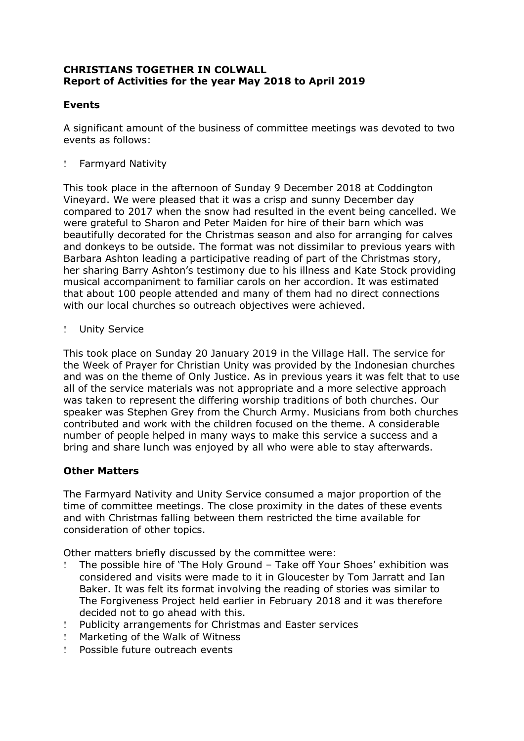# **CHRISTIANS TOGETHER IN COLWALL Report of Activities for the year May 2018 to April 2019**

# **Events**

A significant amount of the business of committee meetings was devoted to two events as follows:

Farmyard Nativity

This took place in the afternoon of Sunday 9 December 2018 at Coddington Vineyard. We were pleased that it was a crisp and sunny December day compared to 2017 when the snow had resulted in the event being cancelled. We were grateful to Sharon and Peter Maiden for hire of their barn which was beautifully decorated for the Christmas season and also for arranging for calves and donkeys to be outside. The format was not dissimilar to previous years with Barbara Ashton leading a participative reading of part of the Christmas story, her sharing Barry Ashton's testimony due to his illness and Kate Stock providing musical accompaniment to familiar carols on her accordion. It was estimated that about 100 people attended and many of them had no direct connections with our local churches so outreach objectives were achieved.

! Unity Service

This took place on Sunday 20 January 2019 in the Village Hall. The service for the Week of Prayer for Christian Unity was provided by the Indonesian churches and was on the theme of Only Justice. As in previous years it was felt that to use all of the service materials was not appropriate and a more selective approach was taken to represent the differing worship traditions of both churches. Our speaker was Stephen Grey from the Church Army. Musicians from both churches contributed and work with the children focused on the theme. A considerable number of people helped in many ways to make this service a success and a bring and share lunch was enjoyed by all who were able to stay afterwards.

# **Other Matters**

The Farmyard Nativity and Unity Service consumed a major proportion of the time of committee meetings. The close proximity in the dates of these events and with Christmas falling between them restricted the time available for consideration of other topics.

Other matters briefly discussed by the committee were:

- The possible hire of 'The Holy Ground Take off Your Shoes' exhibition was considered and visits were made to it in Gloucester by Tom Jarratt and Ian Baker. It was felt its format involving the reading of stories was similar to The Forgiveness Project held earlier in February 2018 and it was therefore decided not to go ahead with this.
- Publicity arrangements for Christmas and Easter services
- ! Marketing of the Walk of Witness
- Possible future outreach events